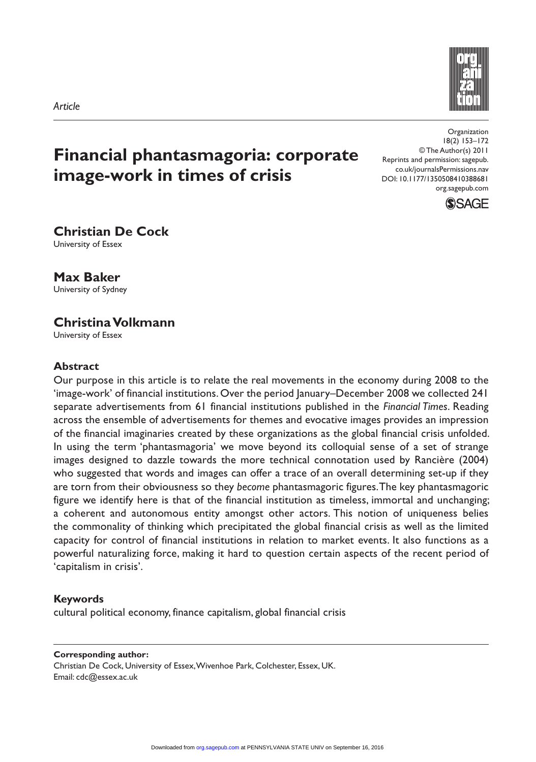

# **Financial phantasmagoria: corporate image-work in times of crisis**

Organization 18(2) 153–172 © The Author(s) 2011 Reprints and permission: sagepub. co.uk/journalsPermissions.nav DOI: 10.1177/1350508410388681 org.sagepub.com



## **Christian De Cock**

University of Essex

**Max Baker** University of Sydney

## **Christina Volkmann**

University of Essex

#### **Abstract**

Our purpose in this article is to relate the real movements in the economy during 2008 to the 'image-work' of financial institutions. Over the period January–December 2008 we collected 241 separate advertisements from 61 financial institutions published in the *Financial Times*. Reading across the ensemble of advertisements for themes and evocative images provides an impression of the financial imaginaries created by these organizations as the global financial crisis unfolded. In using the term 'phantasmagoria' we move beyond its colloquial sense of a set of strange images designed to dazzle towards the more technical connotation used by Rancière (2004) who suggested that words and images can offer a trace of an overall determining set-up if they are torn from their obviousness so they *become* phantasmagoric figures. The key phantasmagoric figure we identify here is that of the financial institution as timeless, immortal and unchanging; a coherent and autonomous entity amongst other actors. This notion of uniqueness belies the commonality of thinking which precipitated the global financial crisis as well as the limited capacity for control of financial institutions in relation to market events. It also functions as a powerful naturalizing force, making it hard to question certain aspects of the recent period of 'capitalism in crisis'.

#### **Keywords**

cultural political economy, finance capitalism, global financial crisis

#### **Corresponding author:**

Christian De Cock, University of Essex, Wivenhoe Park, Colchester, Essex, UK. Email: cdc@essex.ac.uk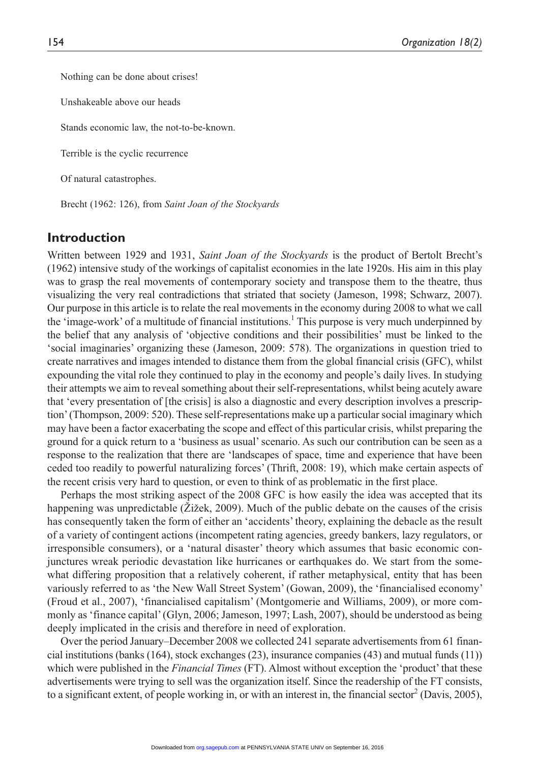Nothing can be done about crises!

Unshakeable above our heads

Stands economic law, the not-to-be-known.

Terrible is the cyclic recurrence

Of natural catastrophes.

Brecht (1962: 126), from *Saint Joan of the Stockyards*

#### **Introduction**

Written between 1929 and 1931, *Saint Joan of the Stockyards* is the product of Bertolt Brecht's (1962) intensive study of the workings of capitalist economies in the late 1920s. His aim in this play was to grasp the real movements of contemporary society and transpose them to the theatre, thus visualizing the very real contradictions that striated that society (Jameson, 1998; Schwarz, 2007). Our purpose in this article is to relate the real movements in the economy during 2008 to what we call the 'image-work' of a multitude of financial institutions.<sup>1</sup> This purpose is very much underpinned by the belief that any analysis of 'objective conditions and their possibilities' must be linked to the 'social imaginaries' organizing these (Jameson, 2009: 578). The organizations in question tried to create narratives and images intended to distance them from the global financial crisis (GFC), whilst expounding the vital role they continued to play in the economy and people's daily lives. In studying their attempts we aim to reveal something about their self-representations, whilst being acutely aware that 'every presentation of [the crisis] is also a diagnostic and every description involves a prescription' (Thompson, 2009: 520). These self-representations make up a particular social imaginary which may have been a factor exacerbating the scope and effect of this particular crisis, whilst preparing the ground for a quick return to a 'business as usual' scenario. As such our contribution can be seen as a response to the realization that there are 'landscapes of space, time and experience that have been ceded too readily to powerful naturalizing forces' (Thrift, 2008: 19), which make certain aspects of the recent crisis very hard to question, or even to think of as problematic in the first place.

Perhaps the most striking aspect of the 2008 GFC is how easily the idea was accepted that its happening was unpredictable (Žižek, 2009). Much of the public debate on the causes of the crisis has consequently taken the form of either an 'accidents' theory, explaining the debacle as the result of a variety of contingent actions (incompetent rating agencies, greedy bankers, lazy regulators, or irresponsible consumers), or a 'natural disaster' theory which assumes that basic economic conjunctures wreak periodic devastation like hurricanes or earthquakes do. We start from the somewhat differing proposition that a relatively coherent, if rather metaphysical, entity that has been variously referred to as 'the New Wall Street System' (Gowan, 2009), the 'financialised economy' (Froud et al., 2007), 'financialised capitalism' (Montgomerie and Williams, 2009), or more commonly as 'finance capital' (Glyn, 2006; Jameson, 1997; Lash, 2007), should be understood as being deeply implicated in the crisis and therefore in need of exploration.

Over the period January–December 2008 we collected 241 separate advertisements from 61 financial institutions (banks (164), stock exchanges (23), insurance companies (43) and mutual funds (11)) which were published in the *Financial Times* (FT). Almost without exception the 'product' that these advertisements were trying to sell was the organization itself. Since the readership of the FT consists, to a significant extent, of people working in, or with an interest in, the financial sector<sup>2</sup> (Davis, 2005),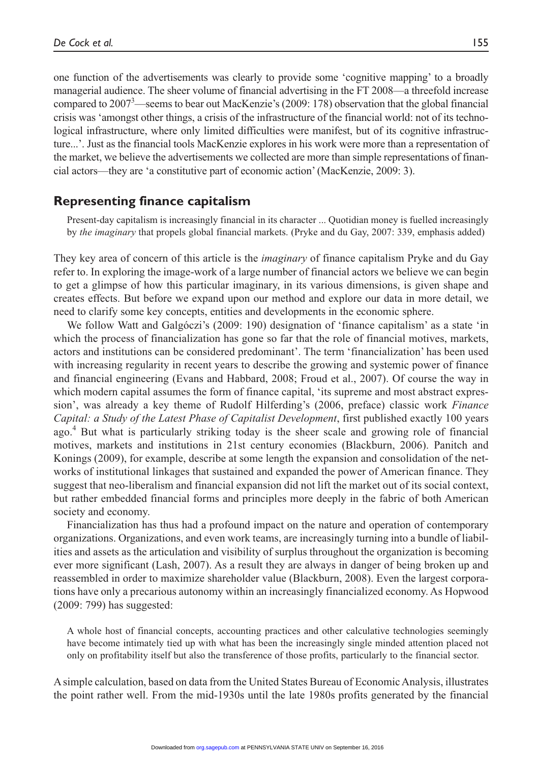one function of the advertisements was clearly to provide some 'cognitive mapping' to a broadly managerial audience. The sheer volume of financial advertising in the FT 2008—a threefold increase compared to 2007<sup>3</sup>—seems to bear out MacKenzie's (2009: 178) observation that the global financial crisis was 'amongst other things, a crisis of the infrastructure of the financial world: not of its technological infrastructure, where only limited difficulties were manifest, but of its cognitive infrastructure...'. Just as the financial tools MacKenzie explores in his work were more than a representation of the market, we believe the advertisements we collected are more than simple representations of financial actors—they are 'a constitutive part of economic action' (MacKenzie, 2009: 3).

## **Representing finance capitalism**

Present-day capitalism is increasingly financial in its character ... Quotidian money is fuelled increasingly by *the imaginary* that propels global financial markets. (Pryke and du Gay, 2007: 339, emphasis added)

They key area of concern of this article is the *imaginary* of finance capitalism Pryke and du Gay refer to. In exploring the image-work of a large number of financial actors we believe we can begin to get a glimpse of how this particular imaginary, in its various dimensions, is given shape and creates effects. But before we expand upon our method and explore our data in more detail, we need to clarify some key concepts, entities and developments in the economic sphere.

We follow Watt and Galgóczi's (2009: 190) designation of 'finance capitalism' as a state 'in which the process of financialization has gone so far that the role of financial motives, markets, actors and institutions can be considered predominant'. The term 'financialization' has been used with increasing regularity in recent years to describe the growing and systemic power of finance and financial engineering (Evans and Habbard, 2008; Froud et al., 2007). Of course the way in which modern capital assumes the form of finance capital, 'its supreme and most abstract expression', was already a key theme of Rudolf Hilferding's (2006, preface) classic work *Finance Capital: a Study of the Latest Phase of Capitalist Development*, first published exactly 100 years ago.<sup>4</sup> But what is particularly striking today is the sheer scale and growing role of financial motives, markets and institutions in 21st century economies (Blackburn, 2006). Panitch and Konings (2009), for example, describe at some length the expansion and consolidation of the networks of institutional linkages that sustained and expanded the power of American finance. They suggest that neo-liberalism and financial expansion did not lift the market out of its social context, but rather embedded financial forms and principles more deeply in the fabric of both American society and economy.

Financialization has thus had a profound impact on the nature and operation of contemporary organizations. Organizations, and even work teams, are increasingly turning into a bundle of liabilities and assets as the articulation and visibility of surplus throughout the organization is becoming ever more significant (Lash, 2007). As a result they are always in danger of being broken up and reassembled in order to maximize shareholder value (Blackburn, 2008). Even the largest corporations have only a precarious autonomy within an increasingly financialized economy. As Hopwood (2009: 799) has suggested:

A whole host of financial concepts, accounting practices and other calculative technologies seemingly have become intimately tied up with what has been the increasingly single minded attention placed not only on profitability itself but also the transference of those profits, particularly to the financial sector.

A simple calculation, based on data from the United States Bureau of Economic Analysis, illustrates the point rather well. From the mid-1930s until the late 1980s profits generated by the financial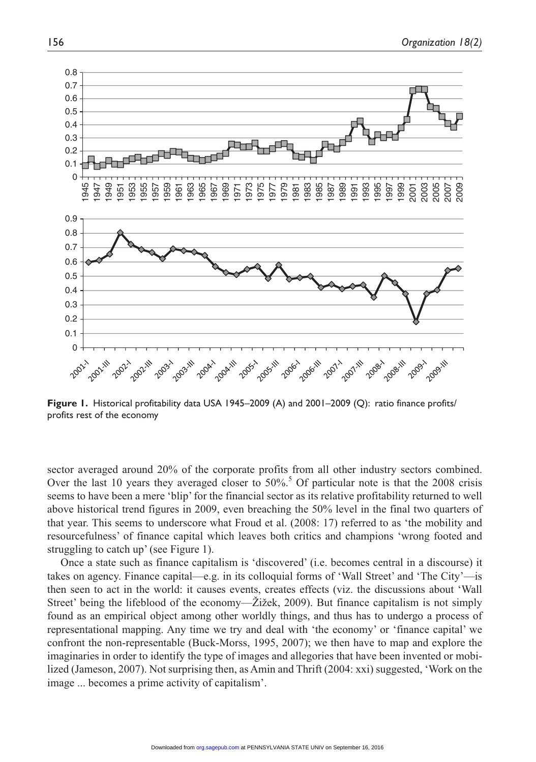

**Figure 1.** Historical profitability data USA 1945–2009 (A) and 2001–2009 (Q): ratio finance profits/ profits rest of the economy

sector averaged around 20% of the corporate profits from all other industry sectors combined. Over the last 10 years they averaged closer to  $50\%$ .<sup>5</sup> Of particular note is that the 2008 crisis seems to have been a mere 'blip' for the financial sector as its relative profitability returned to well above historical trend figures in 2009, even breaching the 50% level in the final two quarters of that year. This seems to underscore what Froud et al. (2008: 17) referred to as 'the mobility and resourcefulness' of finance capital which leaves both critics and champions 'wrong footed and struggling to catch up' (see Figure 1).

Once a state such as finance capitalism is 'discovered' (i.e. becomes central in a discourse) it takes on agency. Finance capital—e.g. in its colloquial forms of 'Wall Street' and 'The City'—is then seen to act in the world: it causes events, creates effects (viz. the discussions about 'Wall Street' being the lifeblood of the economy—Žižek, 2009). But finance capitalism is not simply found as an empirical object among other worldly things, and thus has to undergo a process of representational mapping. Any time we try and deal with 'the economy' or 'finance capital' we confront the non-representable (Buck-Morss, 1995, 2007); we then have to map and explore the imaginaries in order to identify the type of images and allegories that have been invented or mobilized (Jameson, 2007). Not surprising then, as Amin and Thrift (2004: xxi) suggested, 'Work on the image ... becomes a prime activity of capitalism'.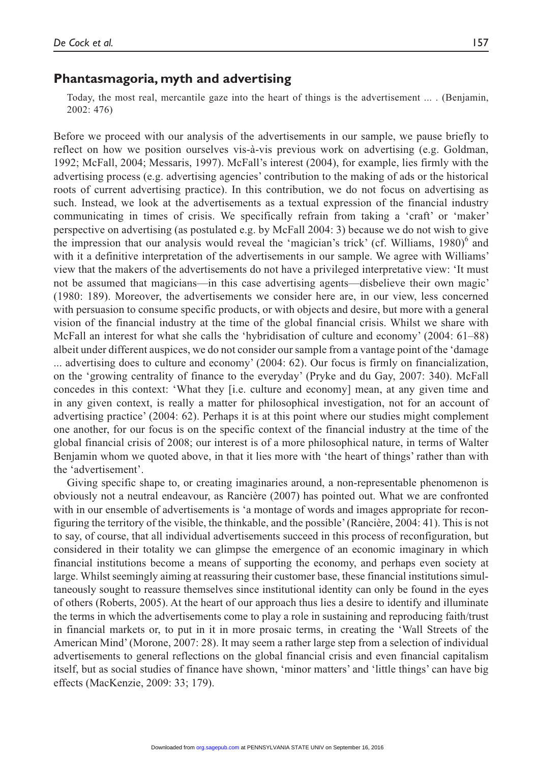## **Phantasmagoria, myth and advertising**

Today, the most real, mercantile gaze into the heart of things is the advertisement ... . (Benjamin, 2002: 476)

Before we proceed with our analysis of the advertisements in our sample, we pause briefly to reflect on how we position ourselves vis-à-vis previous work on advertising (e.g. Goldman, 1992; McFall, 2004; Messaris, 1997). McFall's interest (2004), for example, lies firmly with the advertising process (e.g. advertising agencies' contribution to the making of ads or the historical roots of current advertising practice). In this contribution, we do not focus on advertising as such. Instead, we look at the advertisements as a textual expression of the financial industry communicating in times of crisis. We specifically refrain from taking a 'craft' or 'maker' perspective on advertising (as postulated e.g. by McFall 2004: 3) because we do not wish to give the impression that our analysis would reveal the 'magician's trick' (cf. Williams, 1980)<sup>6</sup> and with it a definitive interpretation of the advertisements in our sample. We agree with Williams' view that the makers of the advertisements do not have a privileged interpretative view: 'It must not be assumed that magicians—in this case advertising agents—disbelieve their own magic' (1980: 189). Moreover, the advertisements we consider here are, in our view, less concerned with persuasion to consume specific products, or with objects and desire, but more with a general vision of the financial industry at the time of the global financial crisis. Whilst we share with McFall an interest for what she calls the 'hybridisation of culture and economy' (2004: 61–88) albeit under different auspices, we do not consider our sample from a vantage point of the 'damage ... advertising does to culture and economy' (2004: 62). Our focus is firmly on financialization, on the 'growing centrality of finance to the everyday' (Pryke and du Gay, 2007: 340). McFall concedes in this context: 'What they [i.e. culture and economy] mean, at any given time and in any given context, is really a matter for philosophical investigation, not for an account of advertising practice' (2004: 62). Perhaps it is at this point where our studies might complement one another, for our focus is on the specific context of the financial industry at the time of the global financial crisis of 2008; our interest is of a more philosophical nature, in terms of Walter Benjamin whom we quoted above, in that it lies more with 'the heart of things' rather than with the 'advertisement'.

Giving specific shape to, or creating imaginaries around, a non-representable phenomenon is obviously not a neutral endeavour, as Rancière (2007) has pointed out. What we are confronted with in our ensemble of advertisements is 'a montage of words and images appropriate for reconfiguring the territory of the visible, the thinkable, and the possible' (Rancière, 2004: 41). This is not to say, of course, that all individual advertisements succeed in this process of reconfiguration, but considered in their totality we can glimpse the emergence of an economic imaginary in which financial institutions become a means of supporting the economy, and perhaps even society at large. Whilst seemingly aiming at reassuring their customer base, these financial institutions simultaneously sought to reassure themselves since institutional identity can only be found in the eyes of others (Roberts, 2005). At the heart of our approach thus lies a desire to identify and illuminate the terms in which the advertisements come to play a role in sustaining and reproducing faith/trust in financial markets or, to put in it in more prosaic terms, in creating the 'Wall Streets of the American Mind' (Morone, 2007: 28). It may seem a rather large step from a selection of individual advertisements to general reflections on the global financial crisis and even financial capitalism itself, but as social studies of finance have shown, 'minor matters' and 'little things' can have big effects (MacKenzie, 2009: 33; 179).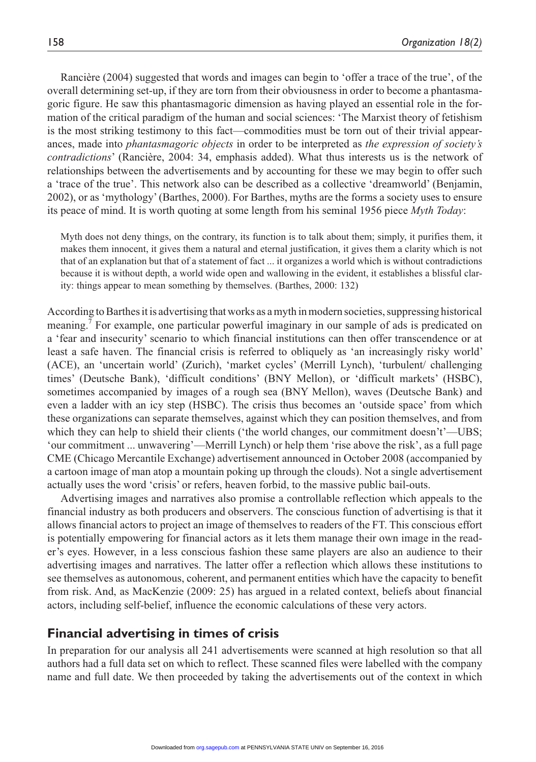Rancière (2004) suggested that words and images can begin to 'offer a trace of the true', of the overall determining set-up, if they are torn from their obviousness in order to become a phantasmagoric figure. He saw this phantasmagoric dimension as having played an essential role in the formation of the critical paradigm of the human and social sciences: 'The Marxist theory of fetishism is the most striking testimony to this fact—commodities must be torn out of their trivial appearances, made into *phantasmagoric objects* in order to be interpreted as *the expression of society's contradictions*' (Rancière, 2004: 34, emphasis added). What thus interests us is the network of relationships between the advertisements and by accounting for these we may begin to offer such a 'trace of the true'. This network also can be described as a collective 'dreamworld' (Benjamin, 2002), or as 'mythology' (Barthes, 2000). For Barthes, myths are the forms a society uses to ensure its peace of mind. It is worth quoting at some length from his seminal 1956 piece *Myth Today*:

Myth does not deny things, on the contrary, its function is to talk about them; simply, it purifies them, it makes them innocent, it gives them a natural and eternal justification, it gives them a clarity which is not that of an explanation but that of a statement of fact ... it organizes a world which is without contradictions because it is without depth, a world wide open and wallowing in the evident, it establishes a blissful clarity: things appear to mean something by themselves. (Barthes, 2000: 132)

According to Barthes it is advertising that works as a myth in modern societies, suppressing historical meaning.<sup>7</sup> For example, one particular powerful imaginary in our sample of ads is predicated on a 'fear and insecurity' scenario to which financial institutions can then offer transcendence or at least a safe haven. The financial crisis is referred to obliquely as 'an increasingly risky world' (ACE), an 'uncertain world' (Zurich), 'market cycles' (Merrill Lynch), 'turbulent/ challenging times' (Deutsche Bank), 'difficult conditions' (BNY Mellon), or 'difficult markets' (HSBC), sometimes accompanied by images of a rough sea (BNY Mellon), waves (Deutsche Bank) and even a ladder with an icy step (HSBC). The crisis thus becomes an 'outside space' from which these organizations can separate themselves, against which they can position themselves, and from which they can help to shield their clients ('the world changes, our commitment doesn't'—UBS; 'our commitment ... unwavering'—Merrill Lynch) or help them 'rise above the risk', as a full page CME (Chicago Mercantile Exchange) advertisement announced in October 2008 (accompanied by a cartoon image of man atop a mountain poking up through the clouds). Not a single advertisement actually uses the word 'crisis' or refers, heaven forbid, to the massive public bail-outs.

Advertising images and narratives also promise a controllable reflection which appeals to the financial industry as both producers and observers. The conscious function of advertising is that it allows financial actors to project an image of themselves to readers of the FT. This conscious effort is potentially empowering for financial actors as it lets them manage their own image in the reader's eyes. However, in a less conscious fashion these same players are also an audience to their advertising images and narratives. The latter offer a reflection which allows these institutions to see themselves as autonomous, coherent, and permanent entities which have the capacity to benefit from risk. And, as MacKenzie (2009: 25) has argued in a related context, beliefs about financial actors, including self-belief, influence the economic calculations of these very actors.

### **Financial advertising in times of crisis**

In preparation for our analysis all 241 advertisements were scanned at high resolution so that all authors had a full data set on which to reflect. These scanned files were labelled with the company name and full date. We then proceeded by taking the advertisements out of the context in which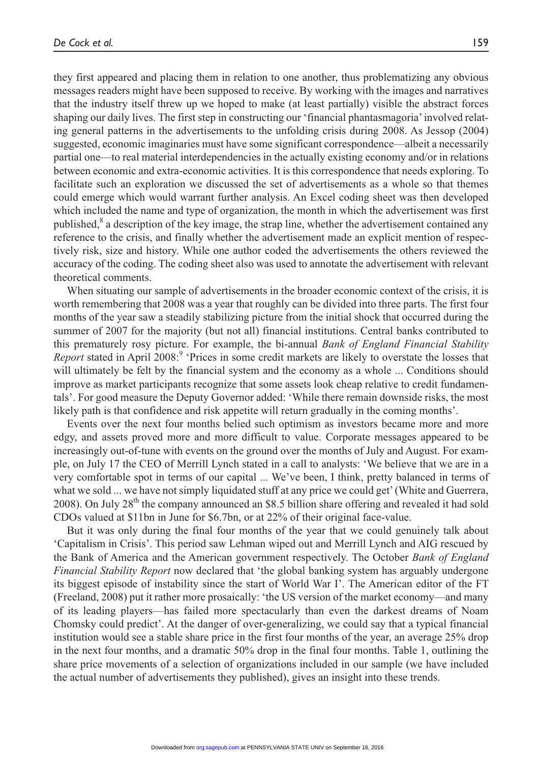they first appeared and placing them in relation to one another, thus problematizing any obvious messages readers might have been supposed to receive. By working with the images and narratives that the industry itself threw up we hoped to make (at least partially) visible the abstract forces shaping our daily lives. The first step in constructing our 'financial phantasmagoria' involved relating general patterns in the advertisements to the unfolding crisis during 2008. As Jessop (2004) suggested, economic imaginaries must have some significant correspondence—albeit a necessarily partial one—to real material interdependencies in the actually existing economy and/or in relations between economic and extra-economic activities. It is this correspondence that needs exploring. To facilitate such an exploration we discussed the set of advertisements as a whole so that themes could emerge which would warrant further analysis. An Excel coding sheet was then developed which included the name and type of organization, the month in which the advertisement was first published,<sup>8</sup> a description of the key image, the strap line, whether the advertisement contained any reference to the crisis, and finally whether the advertisement made an explicit mention of respectively risk, size and history. While one author coded the advertisements the others reviewed the accuracy of the coding. The coding sheet also was used to annotate the advertisement with relevant theoretical comments.

When situating our sample of advertisements in the broader economic context of the crisis, it is worth remembering that 2008 was a year that roughly can be divided into three parts. The first four months of the year saw a steadily stabilizing picture from the initial shock that occurred during the summer of 2007 for the majority (but not all) financial institutions. Central banks contributed to this prematurely rosy picture. For example, the bi-annual *Bank of England Financial Stability*  Report stated in April 2008:<sup>9</sup> 'Prices in some credit markets are likely to overstate the losses that will ultimately be felt by the financial system and the economy as a whole ... Conditions should improve as market participants recognize that some assets look cheap relative to credit fundamentals'. For good measure the Deputy Governor added: 'While there remain downside risks, the most likely path is that confidence and risk appetite will return gradually in the coming months'.

Events over the next four months belied such optimism as investors became more and more edgy, and assets proved more and more difficult to value. Corporate messages appeared to be increasingly out-of-tune with events on the ground over the months of July and August. For example, on July 17 the CEO of Merrill Lynch stated in a call to analysts: 'We believe that we are in a very comfortable spot in terms of our capital ... We've been, I think, pretty balanced in terms of what we sold ... we have not simply liquidated stuff at any price we could get' (White and Guerrera, 2008). On July 28<sup>th</sup> the company announced an \$8.5 billion share offering and revealed it had sold CDOs valued at \$11bn in June for \$6.7bn, or at 22% of their original face-value.

But it was only during the final four months of the year that we could genuinely talk about 'Capitalism in Crisis'. This period saw Lehman wiped out and Merrill Lynch and AIG rescued by the Bank of America and the American government respectively. The October *Bank of England Financial Stability Report* now declared that 'the global banking system has arguably undergone its biggest episode of instability since the start of World War I'. The American editor of the FT (Freeland, 2008) put it rather more prosaically: 'the US version of the market economy—and many of its leading players—has failed more spectacularly than even the darkest dreams of Noam Chomsky could predict'. At the danger of over-generalizing, we could say that a typical financial institution would see a stable share price in the first four months of the year, an average 25% drop in the next four months, and a dramatic 50% drop in the final four months. Table 1, outlining the share price movements of a selection of organizations included in our sample (we have included the actual number of advertisements they published), gives an insight into these trends.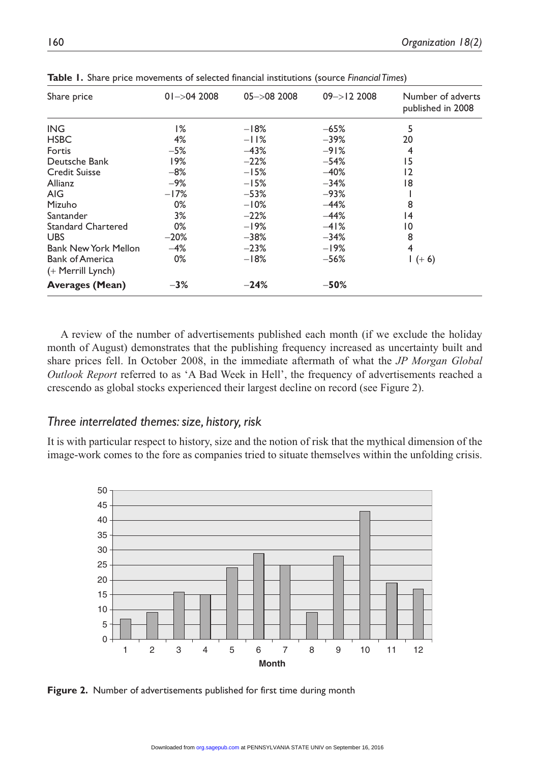| Share price                 | $01 - > 042008$ | $05 - > 082008$ | $09 - > 122008$ | Number of adverts<br>published in 2008 |
|-----------------------------|-----------------|-----------------|-----------------|----------------------------------------|
| <b>ING</b>                  | 1%              | $-18%$          | $-65%$          | 5                                      |
| <b>HSBC</b>                 | 4%              | $-11%$          | $-39%$          | 20                                     |
| Fortis                      | $-5%$           | $-43%$          | $-91%$          | 4                                      |
| Deutsche Bank               | 19%             | $-22%$          | $-54%$          | 15                                     |
| <b>Credit Suisse</b>        | $-8%$           | $-15%$          | $-40%$          | $\overline{2}$                         |
| Allianz                     | $-9%$           | $-15%$          | $-34%$          | 18                                     |
| AIG.                        | $-17%$          | $-53%$          | $-93%$          |                                        |
| Mizuho                      | 0%              | $-10%$          | $-44%$          | 8                                      |
| Santander                   | 3%              | $-22%$          | $-44%$          | 4                                      |
| <b>Standard Chartered</b>   | 0%              | $-19%$          | $-41%$          | 10                                     |
| UBS.                        | $-20%$          | $-38%$          | $-34%$          | 8                                      |
| <b>Bank New York Mellon</b> | $-4%$           | $-23%$          | $-19%$          | 4                                      |
| <b>Bank of America</b>      | 0%              | $-18%$          | $-56%$          | $1 (+ 6)$                              |
| $(+$ Merrill Lynch)         |                 |                 |                 |                                        |
| <b>Averages (Mean)</b>      | $-3%$           | $-24%$          | $-50%$          |                                        |
|                             |                 |                 |                 |                                        |

**Table 1.** Share price movements of selected financial institutions (source *Financial Times*)

A review of the number of advertisements published each month (if we exclude the holiday month of August) demonstrates that the publishing frequency increased as uncertainty built and share prices fell. In October 2008, in the immediate aftermath of what the *JP Morgan Global Outlook Report* referred to as 'A Bad Week in Hell', the frequency of advertisements reached a crescendo as global stocks experienced their largest decline on record (see Figure 2).

### *Three interrelated themes: size, history, risk*

It is with particular respect to history, size and the notion of risk that the mythical dimension of the image-work comes to the fore as companies tried to situate themselves within the unfolding crisis.



**Figure 2.** Number of advertisements published for first time during month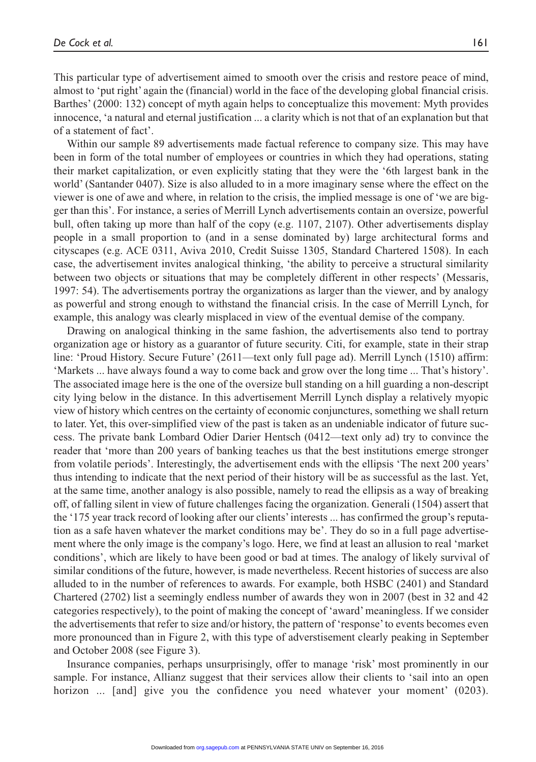This particular type of advertisement aimed to smooth over the crisis and restore peace of mind, almost to 'put right' again the (financial) world in the face of the developing global financial crisis. Barthes' (2000: 132) concept of myth again helps to conceptualize this movement: Myth provides innocence, 'a natural and eternal justification ... a clarity which is not that of an explanation but that of a statement of fact'.

Within our sample 89 advertisements made factual reference to company size. This may have been in form of the total number of employees or countries in which they had operations, stating their market capitalization, or even explicitly stating that they were the '6th largest bank in the world' (Santander 0407). Size is also alluded to in a more imaginary sense where the effect on the viewer is one of awe and where, in relation to the crisis, the implied message is one of 'we are bigger than this'. For instance, a series of Merrill Lynch advertisements contain an oversize, powerful bull, often taking up more than half of the copy (e.g. 1107, 2107). Other advertisements display people in a small proportion to (and in a sense dominated by) large architectural forms and cityscapes (e.g. ACE 0311, Aviva 2010, Credit Suisse 1305, Standard Chartered 1508). In each case, the advertisement invites analogical thinking, 'the ability to perceive a structural similarity between two objects or situations that may be completely different in other respects' (Messaris, 1997: 54). The advertisements portray the organizations as larger than the viewer, and by analogy as powerful and strong enough to withstand the financial crisis. In the case of Merrill Lynch, for example, this analogy was clearly misplaced in view of the eventual demise of the company.

Drawing on analogical thinking in the same fashion, the advertisements also tend to portray organization age or history as a guarantor of future security. Citi, for example, state in their strap line: 'Proud History. Secure Future' (2611—text only full page ad). Merrill Lynch (1510) affirm: 'Markets ... have always found a way to come back and grow over the long time ... That's history'. The associated image here is the one of the oversize bull standing on a hill guarding a non-descript city lying below in the distance. In this advertisement Merrill Lynch display a relatively myopic view of history which centres on the certainty of economic conjunctures, something we shall return to later. Yet, this over-simplified view of the past is taken as an undeniable indicator of future success. The private bank Lombard Odier Darier Hentsch (0412—text only ad) try to convince the reader that 'more than 200 years of banking teaches us that the best institutions emerge stronger from volatile periods'. Interestingly, the advertisement ends with the ellipsis 'The next 200 years' thus intending to indicate that the next period of their history will be as successful as the last. Yet, at the same time, another analogy is also possible, namely to read the ellipsis as a way of breaking off, of falling silent in view of future challenges facing the organization. Generali (1504) assert that the '175 year track record of looking after our clients' interests ... has confirmed the group's reputation as a safe haven whatever the market conditions may be'. They do so in a full page advertisement where the only image is the company's logo. Here, we find at least an allusion to real 'market conditions', which are likely to have been good or bad at times. The analogy of likely survival of similar conditions of the future, however, is made nevertheless. Recent histories of success are also alluded to in the number of references to awards. For example, both HSBC (2401) and Standard Chartered (2702) list a seemingly endless number of awards they won in 2007 (best in 32 and 42 categories respectively), to the point of making the concept of 'award' meaningless. If we consider the advertisements that refer to size and/or history, the pattern of 'response' to events becomes even more pronounced than in Figure 2, with this type of adverstisement clearly peaking in September and October 2008 (see Figure 3).

Insurance companies, perhaps unsurprisingly, offer to manage 'risk' most prominently in our sample. For instance, Allianz suggest that their services allow their clients to 'sail into an open horizon ... [and] give you the confidence you need whatever your moment' (0203).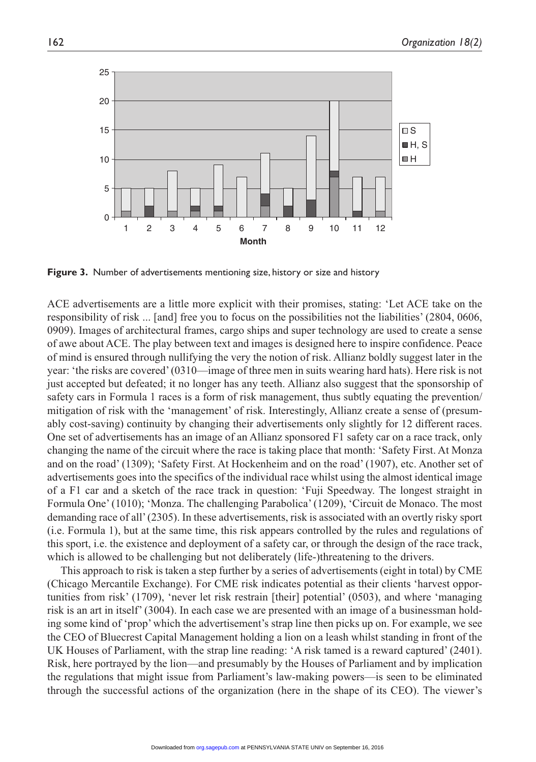

**Figure 3.** Number of advertisements mentioning size, history or size and history

ACE advertisements are a little more explicit with their promises, stating: 'Let ACE take on the responsibility of risk ... [and] free you to focus on the possibilities not the liabilities' (2804, 0606, 0909). Images of architectural frames, cargo ships and super technology are used to create a sense of awe about ACE. The play between text and images is designed here to inspire confidence. Peace of mind is ensured through nullifying the very the notion of risk. Allianz boldly suggest later in the year: 'the risks are covered' (0310—image of three men in suits wearing hard hats). Here risk is not just accepted but defeated; it no longer has any teeth. Allianz also suggest that the sponsorship of safety cars in Formula 1 races is a form of risk management, thus subtly equating the prevention/ mitigation of risk with the 'management' of risk. Interestingly, Allianz create a sense of (presumably cost-saving) continuity by changing their advertisements only slightly for 12 different races. One set of advertisements has an image of an Allianz sponsored F1 safety car on a race track, only changing the name of the circuit where the race is taking place that month: 'Safety First. At Monza and on the road' (1309); 'Safety First. At Hockenheim and on the road' (1907), etc. Another set of advertisements goes into the specifics of the individual race whilst using the almost identical image of a F1 car and a sketch of the race track in question: 'Fuji Speedway. The longest straight in Formula One' (1010); 'Monza. The challenging Parabolica' (1209), 'Circuit de Monaco. The most demanding race of all' (2305). In these advertisements, risk is associated with an overtly risky sport (i.e. Formula 1), but at the same time, this risk appears controlled by the rules and regulations of this sport, i.e. the existence and deployment of a safety car, or through the design of the race track, which is allowed to be challenging but not deliberately (life-)threatening to the drivers.

This approach to risk is taken a step further by a series of advertisements (eight in total) by CME (Chicago Mercantile Exchange). For CME risk indicates potential as their clients 'harvest opportunities from risk' (1709), 'never let risk restrain [their] potential' (0503), and where 'managing risk is an art in itself' (3004). In each case we are presented with an image of a businessman holding some kind of 'prop' which the advertisement's strap line then picks up on. For example, we see the CEO of Bluecrest Capital Management holding a lion on a leash whilst standing in front of the UK Houses of Parliament, with the strap line reading: 'A risk tamed is a reward captured' (2401). Risk, here portrayed by the lion—and presumably by the Houses of Parliament and by implication the regulations that might issue from Parliament's law-making powers—is seen to be eliminated through the successful actions of the organization (here in the shape of its CEO). The viewer's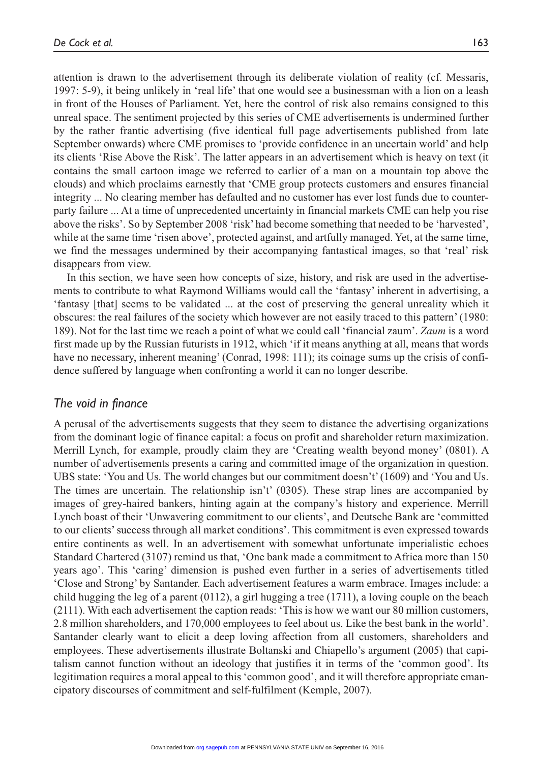attention is drawn to the advertisement through its deliberate violation of reality (cf. Messaris, 1997: 5-9), it being unlikely in 'real life' that one would see a businessman with a lion on a leash in front of the Houses of Parliament. Yet, here the control of risk also remains consigned to this unreal space. The sentiment projected by this series of CME advertisements is undermined further by the rather frantic advertising (five identical full page advertisements published from late September onwards) where CME promises to 'provide confidence in an uncertain world' and help its clients 'Rise Above the Risk'. The latter appears in an advertisement which is heavy on text (it contains the small cartoon image we referred to earlier of a man on a mountain top above the clouds) and which proclaims earnestly that 'CME group protects customers and ensures financial integrity ... No clearing member has defaulted and no customer has ever lost funds due to counterparty failure ... At a time of unprecedented uncertainty in financial markets CME can help you rise above the risks'. So by September 2008 'risk' had become something that needed to be 'harvested', while at the same time 'risen above', protected against, and artfully managed. Yet, at the same time, we find the messages undermined by their accompanying fantastical images, so that 'real' risk disappears from view.

In this section, we have seen how concepts of size, history, and risk are used in the advertisements to contribute to what Raymond Williams would call the 'fantasy' inherent in advertising, a 'fantasy [that] seems to be validated ... at the cost of preserving the general unreality which it obscures: the real failures of the society which however are not easily traced to this pattern' (1980: 189). Not for the last time we reach a point of what we could call 'financial zaum'. *Zaum* is a word first made up by the Russian futurists in 1912, which 'if it means anything at all, means that words have no necessary, inherent meaning' (Conrad, 1998; 111); its coinage sums up the crisis of confidence suffered by language when confronting a world it can no longer describe.

#### *The void in finance*

A perusal of the advertisements suggests that they seem to distance the advertising organizations from the dominant logic of finance capital: a focus on profit and shareholder return maximization. Merrill Lynch, for example, proudly claim they are 'Creating wealth beyond money' (0801). A number of advertisements presents a caring and committed image of the organization in question. UBS state: 'You and Us. The world changes but our commitment doesn't' (1609) and 'You and Us. The times are uncertain. The relationship isn't' (0305). These strap lines are accompanied by images of grey-haired bankers, hinting again at the company's history and experience. Merrill Lynch boast of their 'Unwavering commitment to our clients', and Deutsche Bank are 'committed to our clients' success through all market conditions'. This commitment is even expressed towards entire continents as well. In an advertisement with somewhat unfortunate imperialistic echoes Standard Chartered (3107) remind us that, 'One bank made a commitment to Africa more than 150 years ago'. This 'caring' dimension is pushed even further in a series of advertisements titled 'Close and Strong' by Santander. Each advertisement features a warm embrace. Images include: a child hugging the leg of a parent (0112), a girl hugging a tree (1711), a loving couple on the beach (2111). With each advertisement the caption reads: 'This is how we want our 80 million customers, 2.8 million shareholders, and 170,000 employees to feel about us. Like the best bank in the world'. Santander clearly want to elicit a deep loving affection from all customers, shareholders and employees. These advertisements illustrate Boltanski and Chiapello's argument (2005) that capitalism cannot function without an ideology that justifies it in terms of the 'common good'. Its legitimation requires a moral appeal to this 'common good', and it will therefore appropriate emancipatory discourses of commitment and self-fulfilment (Kemple, 2007).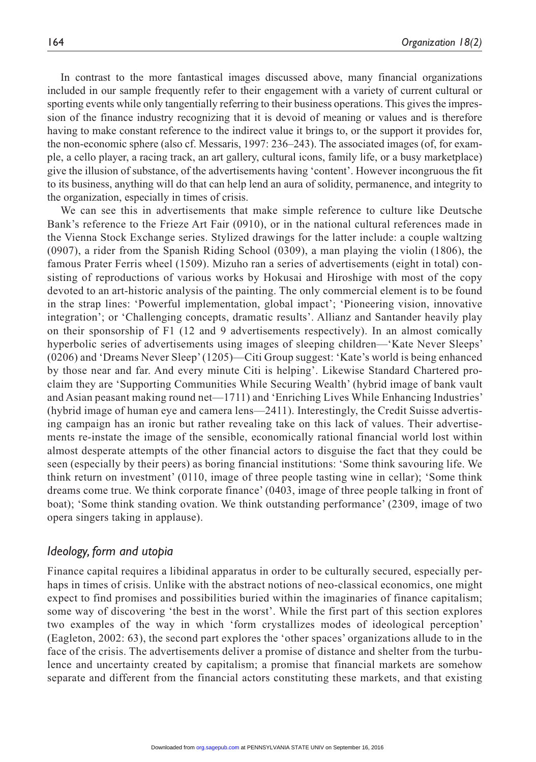In contrast to the more fantastical images discussed above, many financial organizations included in our sample frequently refer to their engagement with a variety of current cultural or sporting events while only tangentially referring to their business operations. This gives the impression of the finance industry recognizing that it is devoid of meaning or values and is therefore having to make constant reference to the indirect value it brings to, or the support it provides for, the non-economic sphere (also cf. Messaris, 1997: 236–243). The associated images (of, for example, a cello player, a racing track, an art gallery, cultural icons, family life, or a busy marketplace) give the illusion of substance, of the advertisements having 'content'. However incongruous the fit to its business, anything will do that can help lend an aura of solidity, permanence, and integrity to the organization, especially in times of crisis.

We can see this in advertisements that make simple reference to culture like Deutsche Bank's reference to the Frieze Art Fair (0910), or in the national cultural references made in the Vienna Stock Exchange series. Stylized drawings for the latter include: a couple waltzing (0907), a rider from the Spanish Riding School (0309), a man playing the violin (1806), the famous Prater Ferris wheel (1509). Mizuho ran a series of advertisements (eight in total) consisting of reproductions of various works by Hokusai and Hiroshige with most of the copy devoted to an art-historic analysis of the painting. The only commercial element is to be found in the strap lines: 'Powerful implementation, global impact'; 'Pioneering vision, innovative integration'; or 'Challenging concepts, dramatic results'. Allianz and Santander heavily play on their sponsorship of F1 (12 and 9 advertisements respectively). In an almost comically hyperbolic series of advertisements using images of sleeping children—'Kate Never Sleeps' (0206) and 'Dreams Never Sleep' (1205)—Citi Group suggest: 'Kate's world is being enhanced by those near and far. And every minute Citi is helping'. Likewise Standard Chartered proclaim they are 'Supporting Communities While Securing Wealth' (hybrid image of bank vault and Asian peasant making round net—1711) and 'Enriching Lives While Enhancing Industries' (hybrid image of human eye and camera lens—2411). Interestingly, the Credit Suisse advertising campaign has an ironic but rather revealing take on this lack of values. Their advertisements re-instate the image of the sensible, economically rational financial world lost within almost desperate attempts of the other financial actors to disguise the fact that they could be seen (especially by their peers) as boring financial institutions: 'Some think savouring life. We think return on investment' (0110, image of three people tasting wine in cellar); 'Some think dreams come true. We think corporate finance' (0403, image of three people talking in front of boat); 'Some think standing ovation. We think outstanding performance' (2309, image of two opera singers taking in applause).

#### *Ideology, form and utopia*

Finance capital requires a libidinal apparatus in order to be culturally secured, especially perhaps in times of crisis. Unlike with the abstract notions of neo-classical economics, one might expect to find promises and possibilities buried within the imaginaries of finance capitalism; some way of discovering 'the best in the worst'. While the first part of this section explores two examples of the way in which 'form crystallizes modes of ideological perception' (Eagleton, 2002: 63), the second part explores the 'other spaces' organizations allude to in the face of the crisis. The advertisements deliver a promise of distance and shelter from the turbulence and uncertainty created by capitalism; a promise that financial markets are somehow separate and different from the financial actors constituting these markets, and that existing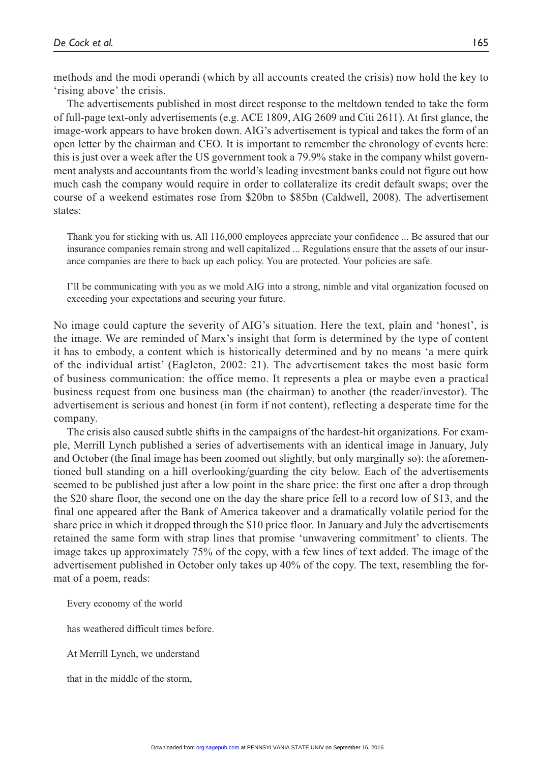methods and the modi operandi (which by all accounts created the crisis) now hold the key to 'rising above' the crisis.

The advertisements published in most direct response to the meltdown tended to take the form of full-page text-only advertisements (e.g. ACE 1809, AIG 2609 and Citi 2611). At first glance, the image-work appears to have broken down. AIG's advertisement is typical and takes the form of an open letter by the chairman and CEO. It is important to remember the chronology of events here: this is just over a week after the US government took a 79.9% stake in the company whilst government analysts and accountants from the world's leading investment banks could not figure out how much cash the company would require in order to collateralize its credit default swaps; over the course of a weekend estimates rose from \$20bn to \$85bn (Caldwell, 2008). The advertisement states:

Thank you for sticking with us. All 116,000 employees appreciate your confidence ... Be assured that our insurance companies remain strong and well capitalized ... Regulations ensure that the assets of our insurance companies are there to back up each policy. You are protected. Your policies are safe.

I'll be communicating with you as we mold AIG into a strong, nimble and vital organization focused on exceeding your expectations and securing your future.

No image could capture the severity of AIG's situation. Here the text, plain and 'honest', is the image. We are reminded of Marx's insight that form is determined by the type of content it has to embody, a content which is historically determined and by no means 'a mere quirk of the individual artist' (Eagleton, 2002: 21). The advertisement takes the most basic form of business communication: the office memo. It represents a plea or maybe even a practical business request from one business man (the chairman) to another (the reader/investor). The advertisement is serious and honest (in form if not content), reflecting a desperate time for the company.

The crisis also caused subtle shifts in the campaigns of the hardest-hit organizations. For example, Merrill Lynch published a series of advertisements with an identical image in January, July and October (the final image has been zoomed out slightly, but only marginally so): the aforementioned bull standing on a hill overlooking/guarding the city below. Each of the advertisements seemed to be published just after a low point in the share price: the first one after a drop through the \$20 share floor, the second one on the day the share price fell to a record low of \$13, and the final one appeared after the Bank of America takeover and a dramatically volatile period for the share price in which it dropped through the \$10 price floor. In January and July the advertisements retained the same form with strap lines that promise 'unwavering commitment' to clients. The image takes up approximately 75% of the copy, with a few lines of text added. The image of the advertisement published in October only takes up 40% of the copy. The text, resembling the format of a poem, reads:

Every economy of the world

has weathered difficult times before.

At Merrill Lynch, we understand

that in the middle of the storm,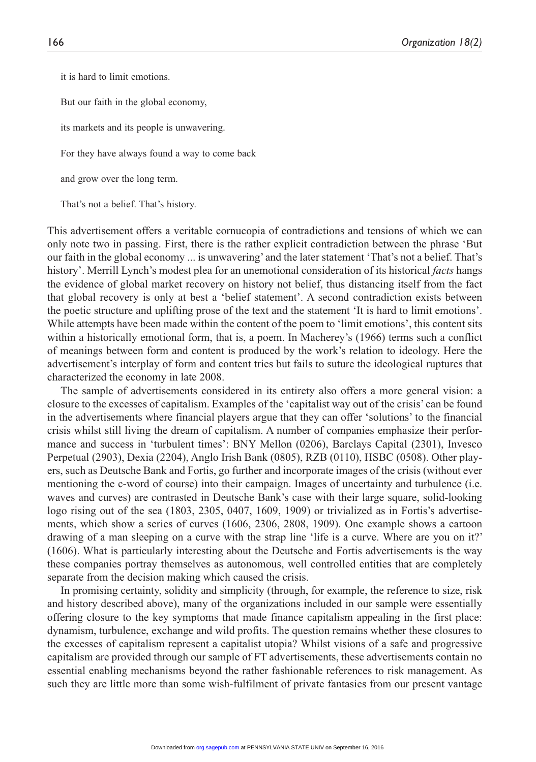it is hard to limit emotions.

But our faith in the global economy,

its markets and its people is unwavering.

For they have always found a way to come back

and grow over the long term.

That's not a belief. That's history.

This advertisement offers a veritable cornucopia of contradictions and tensions of which we can only note two in passing. First, there is the rather explicit contradiction between the phrase 'But our faith in the global economy ... is unwavering' and the later statement 'That's not a belief. That's history'. Merrill Lynch's modest plea for an unemotional consideration of its historical *facts* hangs the evidence of global market recovery on history not belief, thus distancing itself from the fact that global recovery is only at best a 'belief statement'. A second contradiction exists between the poetic structure and uplifting prose of the text and the statement 'It is hard to limit emotions'. While attempts have been made within the content of the poem to 'limit emotions', this content sits within a historically emotional form, that is, a poem. In Macherey's (1966) terms such a conflict of meanings between form and content is produced by the work's relation to ideology. Here the advertisement's interplay of form and content tries but fails to suture the ideological ruptures that characterized the economy in late 2008.

The sample of advertisements considered in its entirety also offers a more general vision: a closure to the excesses of capitalism. Examples of the 'capitalist way out of the crisis' can be found in the advertisements where financial players argue that they can offer 'solutions' to the financial crisis whilst still living the dream of capitalism. A number of companies emphasize their performance and success in 'turbulent times': BNY Mellon (0206), Barclays Capital (2301), Invesco Perpetual (2903), Dexia (2204), Anglo Irish Bank (0805), RZB (0110), HSBC (0508). Other players, such as Deutsche Bank and Fortis, go further and incorporate images of the crisis (without ever mentioning the c-word of course) into their campaign. Images of uncertainty and turbulence (i.e. waves and curves) are contrasted in Deutsche Bank's case with their large square, solid-looking logo rising out of the sea (1803, 2305, 0407, 1609, 1909) or trivialized as in Fortis's advertisements, which show a series of curves (1606, 2306, 2808, 1909). One example shows a cartoon drawing of a man sleeping on a curve with the strap line 'life is a curve. Where are you on it?' (1606). What is particularly interesting about the Deutsche and Fortis advertisements is the way these companies portray themselves as autonomous, well controlled entities that are completely separate from the decision making which caused the crisis.

In promising certainty, solidity and simplicity (through, for example, the reference to size, risk and history described above), many of the organizations included in our sample were essentially offering closure to the key symptoms that made finance capitalism appealing in the first place: dynamism, turbulence, exchange and wild profits. The question remains whether these closures to the excesses of capitalism represent a capitalist utopia? Whilst visions of a safe and progressive capitalism are provided through our sample of FT advertisements, these advertisements contain no essential enabling mechanisms beyond the rather fashionable references to risk management. As such they are little more than some wish-fulfilment of private fantasies from our present vantage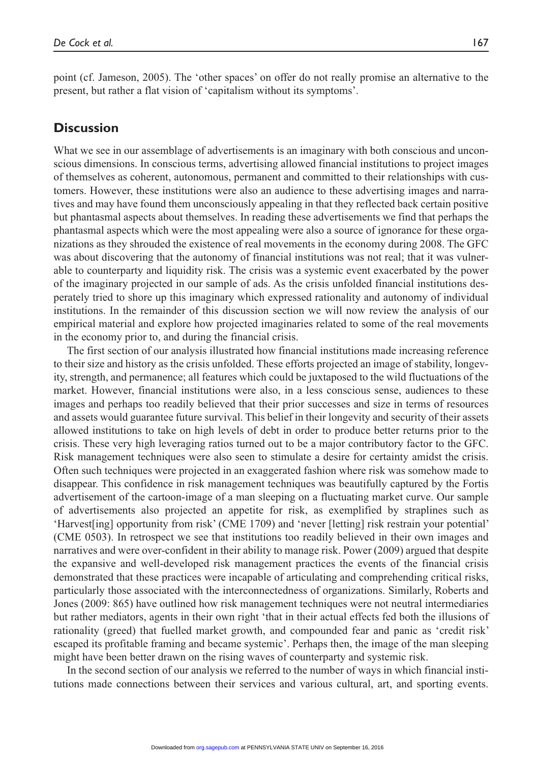point (cf. Jameson, 2005). The 'other spaces' on offer do not really promise an alternative to the present, but rather a flat vision of 'capitalism without its symptoms'.

#### **Discussion**

What we see in our assemblage of advertisements is an imaginary with both conscious and unconscious dimensions. In conscious terms, advertising allowed financial institutions to project images of themselves as coherent, autonomous, permanent and committed to their relationships with customers. However, these institutions were also an audience to these advertising images and narratives and may have found them unconsciously appealing in that they reflected back certain positive but phantasmal aspects about themselves. In reading these advertisements we find that perhaps the phantasmal aspects which were the most appealing were also a source of ignorance for these organizations as they shrouded the existence of real movements in the economy during 2008. The GFC was about discovering that the autonomy of financial institutions was not real; that it was vulnerable to counterparty and liquidity risk. The crisis was a systemic event exacerbated by the power of the imaginary projected in our sample of ads. As the crisis unfolded financial institutions desperately tried to shore up this imaginary which expressed rationality and autonomy of individual institutions. In the remainder of this discussion section we will now review the analysis of our empirical material and explore how projected imaginaries related to some of the real movements in the economy prior to, and during the financial crisis.

The first section of our analysis illustrated how financial institutions made increasing reference to their size and history as the crisis unfolded. These efforts projected an image of stability, longevity, strength, and permanence; all features which could be juxtaposed to the wild fluctuations of the market. However, financial institutions were also, in a less conscious sense, audiences to these images and perhaps too readily believed that their prior successes and size in terms of resources and assets would guarantee future survival. This belief in their longevity and security of their assets allowed institutions to take on high levels of debt in order to produce better returns prior to the crisis. These very high leveraging ratios turned out to be a major contributory factor to the GFC. Risk management techniques were also seen to stimulate a desire for certainty amidst the crisis. Often such techniques were projected in an exaggerated fashion where risk was somehow made to disappear. This confidence in risk management techniques was beautifully captured by the Fortis advertisement of the cartoon-image of a man sleeping on a fluctuating market curve. Our sample of advertisements also projected an appetite for risk, as exemplified by straplines such as 'Harvest[ing] opportunity from risk' (CME 1709) and 'never [letting] risk restrain your potential' (CME 0503). In retrospect we see that institutions too readily believed in their own images and narratives and were over-confident in their ability to manage risk. Power (2009) argued that despite the expansive and well-developed risk management practices the events of the financial crisis demonstrated that these practices were incapable of articulating and comprehending critical risks, particularly those associated with the interconnectedness of organizations. Similarly, Roberts and Jones (2009: 865) have outlined how risk management techniques were not neutral intermediaries but rather mediators, agents in their own right 'that in their actual effects fed both the illusions of rationality (greed) that fuelled market growth, and compounded fear and panic as 'credit risk' escaped its profitable framing and became systemic'. Perhaps then, the image of the man sleeping might have been better drawn on the rising waves of counterparty and systemic risk.

In the second section of our analysis we referred to the number of ways in which financial institutions made connections between their services and various cultural, art, and sporting events.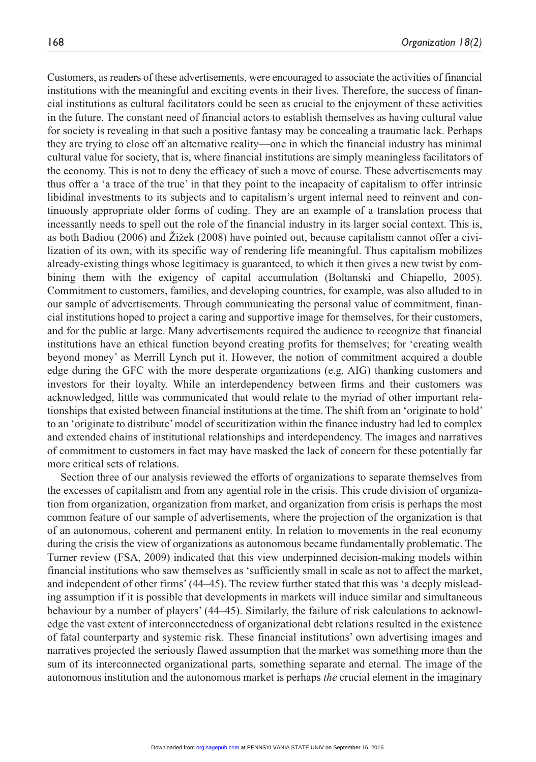Customers, as readers of these advertisements, were encouraged to associate the activities of financial institutions with the meaningful and exciting events in their lives. Therefore, the success of financial institutions as cultural facilitators could be seen as crucial to the enjoyment of these activities in the future. The constant need of financial actors to establish themselves as having cultural value for society is revealing in that such a positive fantasy may be concealing a traumatic lack. Perhaps they are trying to close off an alternative reality—one in which the financial industry has minimal cultural value for society, that is, where financial institutions are simply meaningless facilitators of the economy. This is not to deny the efficacy of such a move of course. These advertisements may thus offer a 'a trace of the true' in that they point to the incapacity of capitalism to offer intrinsic libidinal investments to its subjects and to capitalism's urgent internal need to reinvent and continuously appropriate older forms of coding. They are an example of a translation process that incessantly needs to spell out the role of the financial industry in its larger social context. This is, as both Badiou (2006) and Žižek (2008) have pointed out, because capitalism cannot offer a civilization of its own, with its specific way of rendering life meaningful. Thus capitalism mobilizes already-existing things whose legitimacy is guaranteed, to which it then gives a new twist by combining them with the exigency of capital accumulation (Boltanski and Chiapello, 2005). Commitment to customers, families, and developing countries, for example, was also alluded to in our sample of advertisements. Through communicating the personal value of commitment, financial institutions hoped to project a caring and supportive image for themselves, for their customers, and for the public at large. Many advertisements required the audience to recognize that financial institutions have an ethical function beyond creating profits for themselves; for 'creating wealth beyond money' as Merrill Lynch put it. However, the notion of commitment acquired a double edge during the GFC with the more desperate organizations (e.g. AIG) thanking customers and investors for their loyalty. While an interdependency between firms and their customers was acknowledged, little was communicated that would relate to the myriad of other important relationships that existed between financial institutions at the time. The shift from an 'originate to hold' to an 'originate to distribute' model of securitization within the finance industry had led to complex and extended chains of institutional relationships and interdependency. The images and narratives of commitment to customers in fact may have masked the lack of concern for these potentially far more critical sets of relations.

Section three of our analysis reviewed the efforts of organizations to separate themselves from the excesses of capitalism and from any agential role in the crisis. This crude division of organization from organization, organization from market, and organization from crisis is perhaps the most common feature of our sample of advertisements, where the projection of the organization is that of an autonomous, coherent and permanent entity. In relation to movements in the real economy during the crisis the view of organizations as autonomous became fundamentally problematic. The Turner review (FSA, 2009) indicated that this view underpinned decision-making models within financial institutions who saw themselves as 'sufficiently small in scale as not to affect the market, and independent of other firms' (44–45). The review further stated that this was 'a deeply misleading assumption if it is possible that developments in markets will induce similar and simultaneous behaviour by a number of players' (44–45). Similarly, the failure of risk calculations to acknowledge the vast extent of interconnectedness of organizational debt relations resulted in the existence of fatal counterparty and systemic risk. These financial institutions' own advertising images and narratives projected the seriously flawed assumption that the market was something more than the sum of its interconnected organizational parts, something separate and eternal. The image of the autonomous institution and the autonomous market is perhaps *the* crucial element in the imaginary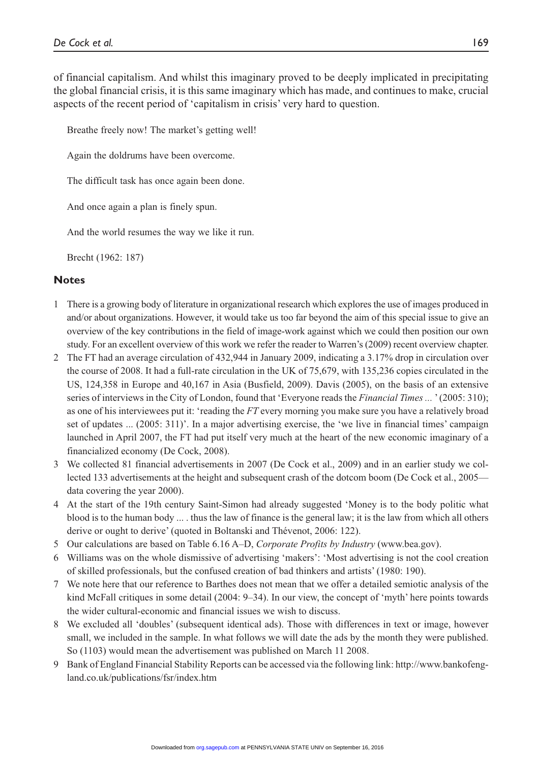of financial capitalism. And whilst this imaginary proved to be deeply implicated in precipitating the global financial crisis, it is this same imaginary which has made, and continues to make, crucial aspects of the recent period of 'capitalism in crisis' very hard to question.

Breathe freely now! The market's getting well!

Again the doldrums have been overcome.

The difficult task has once again been done.

And once again a plan is finely spun.

And the world resumes the way we like it run.

Brecht (1962: 187)

#### **Notes**

- 1 There is a growing body of literature in organizational research which explores the use of images produced in and/or about organizations. However, it would take us too far beyond the aim of this special issue to give an overview of the key contributions in the field of image-work against which we could then position our own study. For an excellent overview of this work we refer the reader to Warren's (2009) recent overview chapter.
- 2 The FT had an average circulation of 432,944 in January 2009, indicating a 3.17% drop in circulation over the course of 2008. It had a full-rate circulation in the UK of 75,679, with 135,236 copies circulated in the US, 124,358 in Europe and 40,167 in Asia (Busfield, 2009). Davis (2005), on the basis of an extensive series of interviews in the City of London, found that 'Everyone reads the *Financial Times ...* ' (2005: 310); as one of his interviewees put it: 'reading the *FT* every morning you make sure you have a relatively broad set of updates ... (2005: 311)'. In a major advertising exercise, the 'we live in financial times' campaign launched in April 2007, the FT had put itself very much at the heart of the new economic imaginary of a financialized economy (De Cock, 2008).
- 3 We collected 81 financial advertisements in 2007 (De Cock et al., 2009) and in an earlier study we collected 133 advertisements at the height and subsequent crash of the dotcom boom (De Cock et al., 2005 data covering the year 2000).
- 4 At the start of the 19th century Saint-Simon had already suggested 'Money is to the body politic what blood is to the human body ... . thus the law of finance is the general law; it is the law from which all others derive or ought to derive' (quoted in Boltanski and Thévenot, 2006: 122).
- 5 Our calculations are based on Table 6.16 A–D, *Corporate Profits by Industry* (www.bea.gov).
- 6 Williams was on the whole dismissive of advertising 'makers': 'Most advertising is not the cool creation of skilled professionals, but the confused creation of bad thinkers and artists' (1980: 190).
- 7 We note here that our reference to Barthes does not mean that we offer a detailed semiotic analysis of the kind McFall critiques in some detail (2004: 9–34). In our view, the concept of 'myth' here points towards the wider cultural-economic and financial issues we wish to discuss.
- 8 We excluded all 'doubles' (subsequent identical ads). Those with differences in text or image, however small, we included in the sample. In what follows we will date the ads by the month they were published. So (1103) would mean the advertisement was published on March 11 2008.
- 9 Bank of England Financial Stability Reports can be accessed via the following link: http://www.bankofengland.co.uk/publications/fsr/index.htm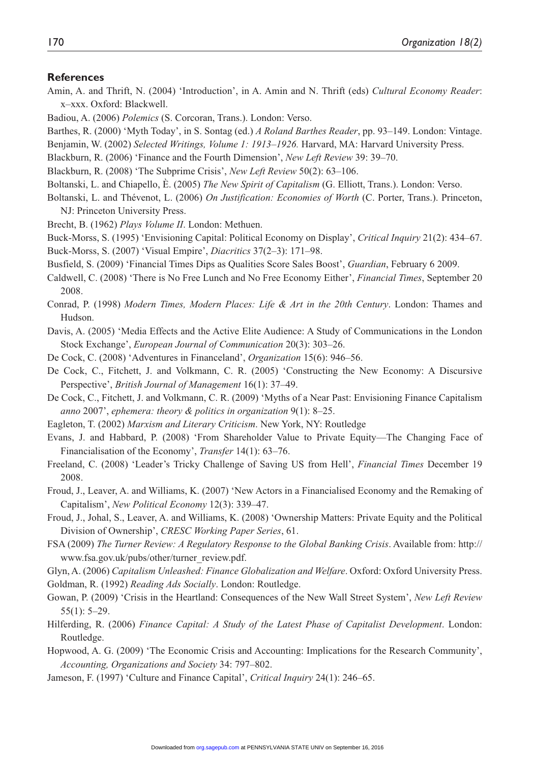#### **References**

Amin, A. and Thrift, N. (2004) 'Introduction', in A. Amin and N. Thrift (eds) *Cultural Economy Reader*: x–xxx. Oxford: Blackwell.

Badiou, A. (2006) *Polemics* (S. Corcoran, Trans.). London: Verso.

- Barthes, R. (2000) 'Myth Today', in S. Sontag (ed.) *A Roland Barthes Reader*, pp. 93–149. London: Vintage.
- Benjamin, W. (2002) *Selected Writings, Volume 1: 1913–1926.* Harvard, MA: Harvard University Press.
- Blackburn, R. (2006) 'Finance and the Fourth Dimension', *New Left Review* 39: 39–70.

Blackburn, R. (2008) 'The Subprime Crisis', *New Left Review* 50(2): 63–106.

Boltanski, L. and Chiapello, È. (2005) *The New Spirit of Capitalism* (G. Elliott, Trans.). London: Verso.

- Boltanski, L. and Thévenot, L. (2006) *On Justification: Economies of Worth* (C. Porter, Trans.). Princeton, NJ: Princeton University Press.
- Brecht, B. (1962) *Plays Volume II*. London: Methuen.
- Buck-Morss, S. (1995) 'Envisioning Capital: Political Economy on Display', *Critical Inquiry* 21(2): 434–67.

Buck-Morss, S. (2007) 'Visual Empire', *Diacritics* 37(2–3): 171–98.

- Busfield, S. (2009) 'Financial Times Dips as Qualities Score Sales Boost', *Guardian*, February 6 2009.
- Caldwell, C. (2008) 'There is No Free Lunch and No Free Economy Either', *Financial Times*, September 20 2008.
- Conrad, P. (1998) *Modern Times, Modern Places: Life & Art in the 20th Century*. London: Thames and Hudson.
- Davis, A. (2005) 'Media Effects and the Active Elite Audience: A Study of Communications in the London Stock Exchange', *European Journal of Communication* 20(3): 303–26.
- De Cock, C. (2008) 'Adventures in Financeland', *Organization* 15(6): 946–56.
- De Cock, C., Fitchett, J. and Volkmann, C. R. (2005) 'Constructing the New Economy: A Discursive Perspective', *British Journal of Management* 16(1): 37–49.
- De Cock, C., Fitchett, J. and Volkmann, C. R. (2009) 'Myths of a Near Past: Envisioning Finance Capitalism *anno* 2007', *ephemera: theory & politics in organization* 9(1): 8–25.
- Eagleton, T. (2002) *Marxism and Literary Criticism*. New York, NY: Routledge
- Evans, J. and Habbard, P. (2008) 'From Shareholder Value to Private Equity—The Changing Face of Financialisation of the Economy', *Transfer* 14(1): 63–76.
- Freeland, C. (2008) 'Leader's Tricky Challenge of Saving US from Hell', *Financial Times* December 19 2008.
- Froud, J., Leaver, A. and Williams, K. (2007) 'New Actors in a Financialised Economy and the Remaking of Capitalism', *New Political Economy* 12(3): 339–47.
- Froud, J., Johal, S., Leaver, A. and Williams, K. (2008) 'Ownership Matters: Private Equity and the Political Division of Ownership', *CRESC Working Paper Series*, 61.
- FSA (2009) *The Turner Review: A Regulatory Response to the Global Banking Crisis*. Available from: http:// www.fsa.gov.uk/pubs/other/turner\_review.pdf.

Glyn, A. (2006) *Capitalism Unleashed: Finance Globalization and Welfare*. Oxford: Oxford University Press. Goldman, R. (1992) *Reading Ads Socially*. London: Routledge.

- Gowan, P. (2009) 'Crisis in the Heartland: Consequences of the New Wall Street System', *New Left Review* 55(1): 5–29.
- Hilferding, R. (2006) *Finance Capital: A Study of the Latest Phase of Capitalist Development*. London: Routledge.
- Hopwood, A. G. (2009) 'The Economic Crisis and Accounting: Implications for the Research Community', *Accounting, Organizations and Society* 34: 797–802.
- Jameson, F. (1997) 'Culture and Finance Capital', *Critical Inquiry* 24(1): 246–65.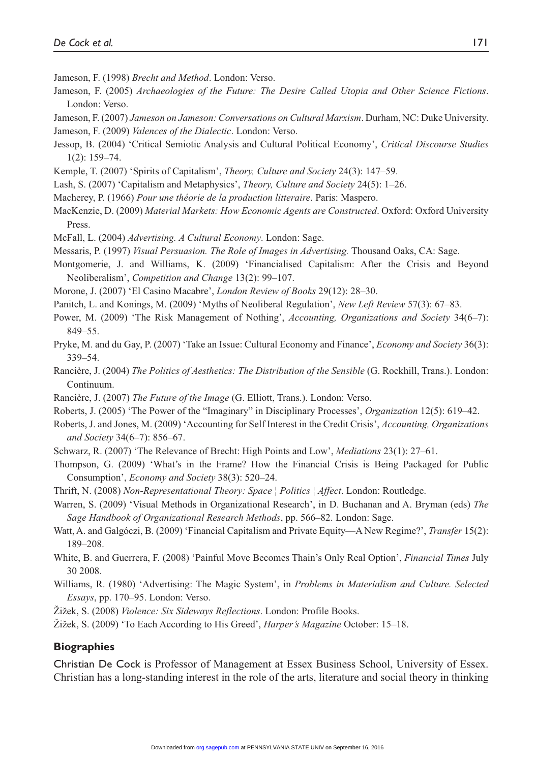Jameson, F. (1998) *Brecht and Method*. London: Verso.

- Jameson, F. (2005) *Archaeologies of the Future: The Desire Called Utopia and Other Science Fictions*. London: Verso.
- Jameson, F. (2007) *Jameson on Jameson: Conversations on Cultural Marxism*. Durham, NC: Duke University. Jameson, F. (2009) *Valences of the Dialectic*. London: Verso.
- Jessop, B. (2004) 'Critical Semiotic Analysis and Cultural Political Economy', *Critical Discourse Studies*  $1(2): 159 - 74.$
- Kemple, T. (2007) 'Spirits of Capitalism', *Theory, Culture and Society* 24(3): 147–59.
- Lash, S. (2007) 'Capitalism and Metaphysics', *Theory, Culture and Society* 24(5): 1–26.
- Macherey, P. (1966) *Pour une théorie de la production litteraire*. Paris: Maspero.
- MacKenzie, D. (2009) *Material Markets: How Economic Agents are Constructed*. Oxford: Oxford University Press.
- McFall, L. (2004) *Advertising. A Cultural Economy*. London: Sage.
- Messaris, P. (1997) *Visual Persuasion. The Role of Images in Advertising.* Thousand Oaks, CA: Sage.
- Montgomerie, J. and Williams, K. (2009) 'Financialised Capitalism: After the Crisis and Beyond Neoliberalism', *Competition and Change* 13(2): 99–107.
- Morone, J. (2007) 'El Casino Macabre', *London Review of Books* 29(12): 28–30.
- Panitch, L. and Konings, M. (2009) 'Myths of Neoliberal Regulation', *New Left Review* 57(3): 67–83.
- Power, M. (2009) 'The Risk Management of Nothing', *Accounting, Organizations and Society* 34(6–7): 849–55.
- Pryke, M. and du Gay, P. (2007) 'Take an Issue: Cultural Economy and Finance', *Economy and Society* 36(3): 339–54.
- Rancière, J. (2004) *The Politics of Aesthetics: The Distribution of the Sensible* (G. Rockhill, Trans.). London: Continuum.
- Rancière, J. (2007) *The Future of the Image* (G. Elliott, Trans.). London: Verso.
- Roberts, J. (2005) 'The Power of the "Imaginary" in Disciplinary Processes', *Organization* 12(5): 619–42.
- Roberts, J. and Jones, M. (2009) 'Accounting for Self Interest in the Credit Crisis', *Accounting, Organizations and Society* 34(6–7): 856–67.
- Schwarz, R. (2007) 'The Relevance of Brecht: High Points and Low', *Mediations* 23(1): 27–61.
- Thompson, G. (2009) 'What's in the Frame? How the Financial Crisis is Being Packaged for Public Consumption', *Economy and Society* 38(3): 520–24.
- Thrift, N. (2008) *Non-Representational Theory: Space ¦ Politics ¦ Affect*. London: Routledge.
- Warren, S. (2009) 'Visual Methods in Organizational Research', in D. Buchanan and A. Bryman (eds) *The Sage Handbook of Organizational Research Methods*, pp. 566–82. London: Sage.
- Watt, A. and Galgóczi, B. (2009) 'Financial Capitalism and Private Equity—A New Regime?', *Transfer* 15(2): 189–208.
- White, B. and Guerrera, F. (2008) 'Painful Move Becomes Thain's Only Real Option', *Financial Times* July 30 2008.
- Williams, R. (1980) 'Advertising: The Magic System', in *Problems in Materialism and Culture. Selected Essays*, pp. 170–95. London: Verso.
- Žižek, S. (2008) *Violence: Six Sideways Reflections*. London: Profile Books.
- Žižek, S. (2009) 'To Each According to His Greed', *Harper's Magazine* October: 15–18.

#### **Biographies**

Christian De Cock is Professor of Management at Essex Business School, University of Essex. Christian has a long-standing interest in the role of the arts, literature and social theory in thinking